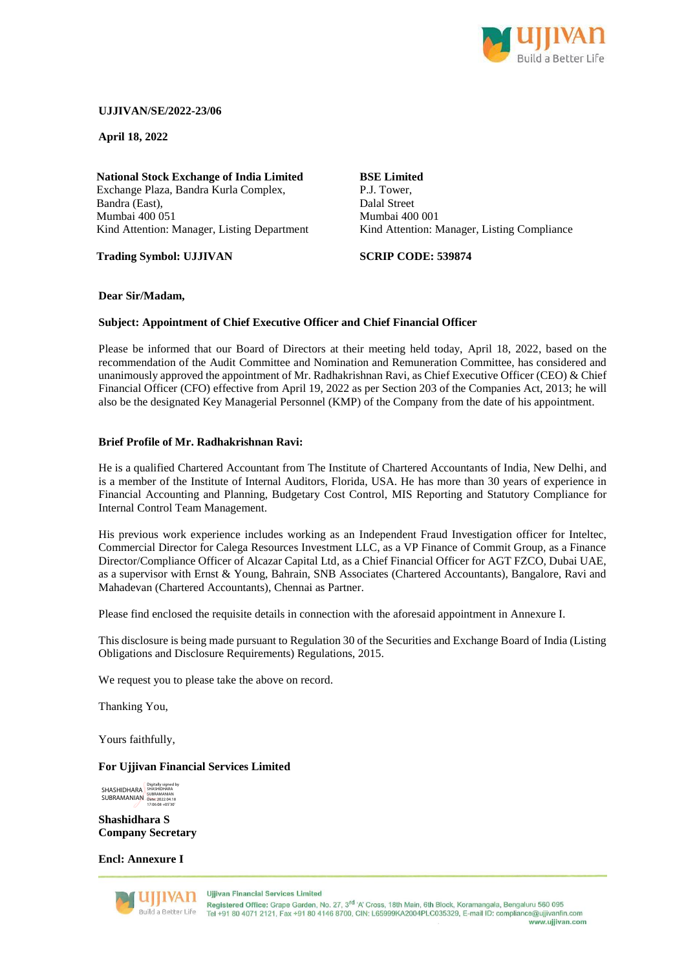

## **UJJIVAN/SE/2022-23/06**

**April 18, 2022**

**National Stock Exchange of India Limited** Exchange Plaza, Bandra Kurla Complex, Bandra (East), Mumbai 400 051 Kind Attention: Manager, Listing Department

**Trading Symbol: UJJIVAN**

### **BSE Limited** P.J. Tower, Dalal Street Mumbai 400 001 Kind Attention: Manager, Listing Compliance

**SCRIP CODE: 539874**

# **Dear Sir/Madam,**

### **Subject: Appointment of Chief Executive Officer and Chief Financial Officer**

Please be informed that our Board of Directors at their meeting held today, April 18, 2022, based on the recommendation of the Audit Committee and Nomination and Remuneration Committee, has considered and unanimously approved the appointment of Mr. Radhakrishnan Ravi, as Chief Executive Officer (CEO) & Chief Financial Officer (CFO) effective from April 19, 2022 as per Section 203 of the Companies Act, 2013; he will also be the designated Key Managerial Personnel (KMP) of the Company from the date of his appointment.

### **Brief Profile of Mr. Radhakrishnan Ravi:**

He is a qualified Chartered Accountant from The Institute of Chartered Accountants of India, New Delhi, and is a member of the Institute of Internal Auditors, Florida, USA. He has more than 30 years of experience in Financial Accounting and Planning, Budgetary Cost Control, MIS Reporting and Statutory Compliance for Internal Control Team Management.

His previous work experience includes working as an Independent Fraud Investigation officer for Inteltec, Commercial Director for Calega Resources Investment LLC, as a VP Finance of Commit Group, as a Finance Director/Compliance Officer of Alcazar Capital Ltd, as a Chief Financial Officer for AGT FZCO, Dubai UAE, as a supervisor with Ernst & Young, Bahrain, SNB Associates (Chartered Accountants), Bangalore, Ravi and Mahadevan (Chartered Accountants), Chennai as Partner.

Please find enclosed the requisite details in connection with the aforesaid appointment in Annexure I.

This disclosure is being made pursuant to Regulation 30 of the Securities and Exchange Board of India (Listing Obligations and Disclosure Requirements) Regulations, 2015.

We request you to please take the above on record.

Thanking You,

Yours faithfully,

#### **For Ujjivan Financial Services Limited**

**SHASHIDHARA** SUBRAMANIAN Digitally signed by SHASHIDHARA SUBRAMANIAN Date: 2022.04.18 17:06:08 +05'30'

**Shashidhara S Company Secretary**

**Encl: Annexure I**



Uliliyan Financial Services Limited

Registered Office: Grape Garden, No. 27, 3<sup>rd</sup> 'A' Cross, 18th Main, 6th Block, Koramangala, Bengaluru 560 095 Tel +91 80 4071 2121, Fax +91 80 4146 8700, CIN: L65999KA2004PLC035329, E-mail ID: compliance@ujjivanfin.com www.uiiivan.com